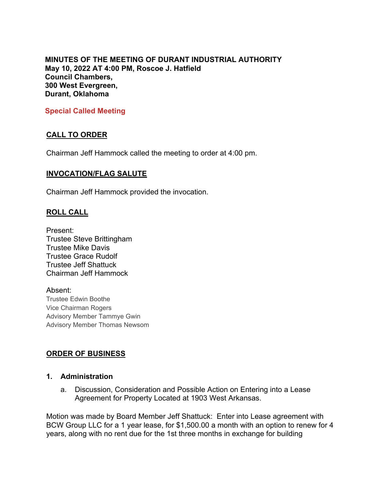**MINUTES OF THE MEETING OF DURANT INDUSTRIAL AUTHORITY May 10, 2022 AT 4:00 PM, Roscoe J. Hatfield Council Chambers, 300 West Evergreen, Durant, Oklahoma**

**Special Called Meeting**

# **CALL TO ORDER**

Chairman Jeff Hammock called the meeting to order at 4:00 pm.

### **INVOCATION/FLAG SALUTE**

Chairman Jeff Hammock provided the invocation.

### **ROLL CALL**

Present: Trustee Steve Brittingham Trustee Mike Davis Trustee Grace Rudolf Trustee Jeff Shattuck Chairman Jeff Hammock

Absent: Trustee Edwin Boothe Vice Chairman Rogers Advisory Member Tammye Gwin Advisory Member Thomas Newsom

# **ORDER OF BUSINESS**

#### **1. Administration**

a. Discussion, Consideration and Possible Action on Entering into a Lease Agreement for Property Located at 1903 West Arkansas.

Motion was made by Board Member Jeff Shattuck: Enter into Lease agreement with BCW Group LLC for a 1 year lease, for \$1,500.00 a month with an option to renew for 4 years, along with no rent due for the 1st three months in exchange for building